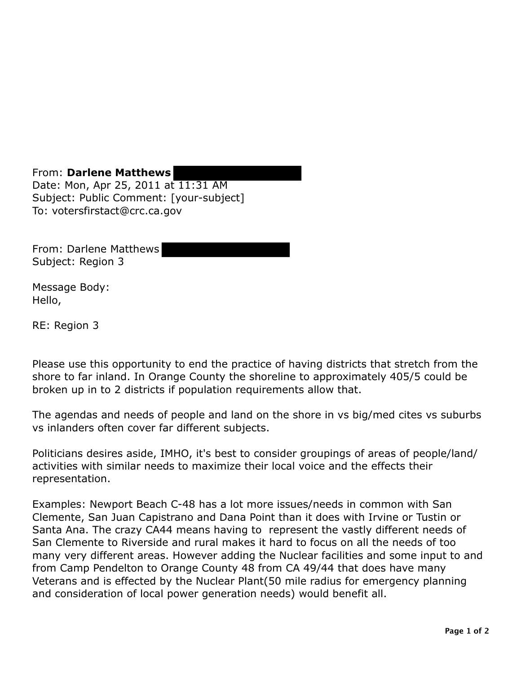From: **Darlene Matthews**  Date: Mon, Apr 25, 2011 at 11:31 AM Subject: Public Comment: [your-subject] To: votersfirstact@crc.ca.gov

From: Darlene Matthews Subject: Region 3

Message Body: Hello,

RE: Region 3

Please use this opportunity to end the practice of having districts that stretch from the shore to far inland. In Orange County the shoreline to approximately 405/5 could be broken up in to 2 districts if population requirements allow that.

The agendas and needs of people and land on the shore in vs big/med cites vs suburbs vs inlanders often cover far different subjects.

Politicians desires aside, IMHO, it's best to consider groupings of areas of people/land/ activities with similar needs to maximize their local voice and the effects their representation.

Examples: Newport Beach C-48 has a lot more issues/needs in common with San Clemente, San Juan Capistrano and Dana Point than it does with Irvine or Tustin or Santa Ana. The crazy CA44 means having to represent the vastly different needs of San Clemente to Riverside and rural makes it hard to focus on all the needs of too many very different areas. However adding the Nuclear facilities and some input to and from Camp Pendelton to Orange County 48 from CA 49/44 that does have many Veterans and is effected by the Nuclear Plant(50 mile radius for emergency planning and consideration of local power generation needs) would benefit all.